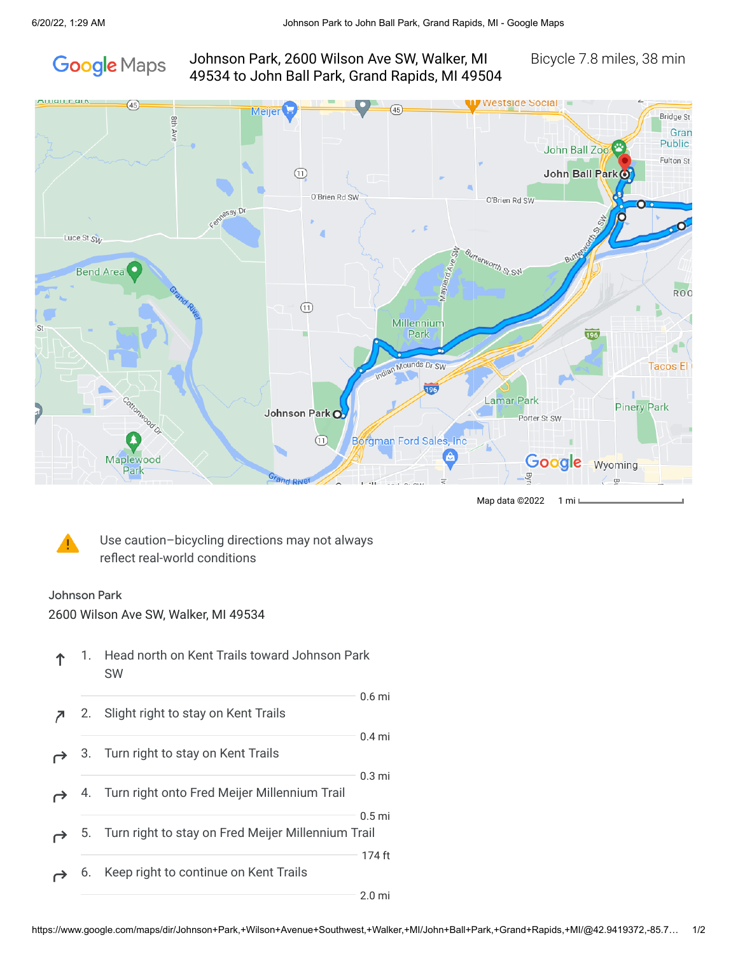

## Johnson Park, 2600 Wilson Ave SW, Walker, MI Bicycle 7.8 miles, 38 min 49534 to John Ball Park, Grand Rapids, MI 49504



Map data ©2022 1 mil



Use caution–bicycling directions may not always reflect real-world conditions

## Johnson Park

2600 Wilson Ave SW, Walker, MI 49534

|  | 1. Head north on Kent Trails toward Johnson Park |
|--|--------------------------------------------------|
|  | <b>SW</b>                                        |

|    |                                                       | $0.6$ mi          |
|----|-------------------------------------------------------|-------------------|
| 2. | Slight right to stay on Kent Trails                   |                   |
|    | 3. Turn right to stay on Kent Trails                  | $0.4$ mi          |
|    | 4. Turn right onto Fred Meijer Millennium Trail       | $0.3 \text{ mi}$  |
|    | 5. Turn right to stay on Fred Meijer Millennium Trail | 0.5 <sub>mi</sub> |
|    | 6. Keep right to continue on Kent Trails              | 174 ft            |
|    |                                                       | $2.0 \text{ mi}$  |